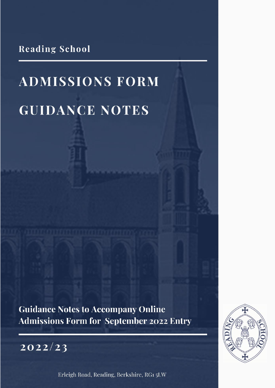**Reading School** 

# **ADMISSIONS FORM GUIDANCE NOTES**

**Guidance Notes to Accompany Online Admissions Form for September 2022 Entry** 



Erleigh Road, Reading, Berkshire, RG1 5LW

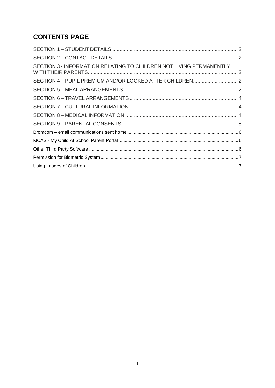## **CONTENTS PAGE**

| SECTION 3 - INFORMATION RELATING TO CHILDREN NOT LIVING PERMANENTLY |  |
|---------------------------------------------------------------------|--|
|                                                                     |  |
|                                                                     |  |
|                                                                     |  |
|                                                                     |  |
|                                                                     |  |
|                                                                     |  |
|                                                                     |  |
|                                                                     |  |
|                                                                     |  |
|                                                                     |  |
|                                                                     |  |
|                                                                     |  |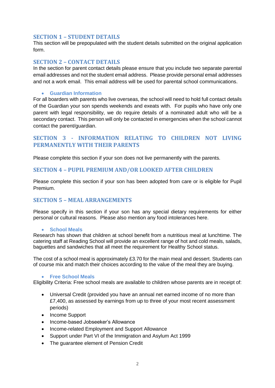## <span id="page-2-0"></span>**SECTION 1 – STUDENT DETAILS**

This section will be prepopulated with the student details submitted on the original application form.

#### <span id="page-2-1"></span>**SECTION 2 – CONTACT DETAILS**

In the section for parent contact details please ensure that you include two separate parental email addresses and not the student email address. Please provide personal email addresses and not a work email. This email address will be used for parental school communications.

#### • **Guardian Information**

For all boarders with parents who live overseas, the school will need to hold full contact details of the Guardian your son spends weekends and exeats with. For pupils who have only one parent with legal responsibility, we do require details of a nominated adult who will be a secondary contact. This person will only be contacted in emergencies when the school cannot contact the parent/guardian.

## <span id="page-2-2"></span>**SECTION 3 - INFORMATION RELATING TO CHILDREN NOT LIVING PERMANENTLY WITH THEIR PARENTS**

Please complete this section if your son does not live permanently with the parents.

#### <span id="page-2-3"></span>**SECTION 4 – PUPIL PREMIUM AND/OR LOOKED AFTER CHILDREN**

Please complete this section if your son has been adopted from care or is eligible for Pupil Premium.

## <span id="page-2-4"></span>**SECTION 5 – MEAL ARRANGEMENTS**

Please specify in this section if your son has any special dietary requirements for either personal or cultural reasons. Please also mention any food intolerances here.

#### • **School Meals**

Research has shown that children at school benefit from a nutritious meal at lunchtime. The catering staff at Reading School will provide an excellent range of hot and cold meals, salads, baguettes and sandwiches that all meet the requirement for Healthy School status.

The cost of a school meal is approximately £3.70 for the main meal and dessert. Students can of course mix and match their choices according to the value of the meal they are buying.

#### • **Free School Meals**

Eligibility Criteria: Free school meals are available to children whose parents are in receipt of:

- Universal Credit (provided you have an annual net earned income of no more than £7,400, as assessed by earnings from up to three of your most recent assessment periods)
- Income Support
- Income-based Jobseeker's Allowance
- Income-related Employment and Support Allowance
- Support under Part VI of the Immigration and Asylum Act 1999
- The guarantee element of Pension Credit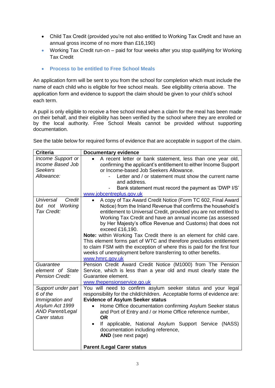- Child Tax Credit (provided you're not also entitled to Working Tax Credit and have an annual gross income of no more than £16,190)
- Working Tax Credit run-on paid for four weeks after you stop qualifying for Working Tax Credit
- **Process to be entitled to Free School Meals**

An application form will be sent to you from the school for completion which must include the name of each child who is eligible for free school meals. See eligibility criteria above. The application form and evidence to support the claim should be given to your child's school each term.

A pupil is only eligible to receive a free school meal when a claim for the meal has been made on their behalf, and their eligibility has been verified by the school where they are enrolled or by the local authority. Free School Meals cannot be provided without supporting documentation.

See the table below for required forms of evidence that are acceptable in support of the claim.

| <b>Criteria</b>                                                                                                 | <b>Documentary evidence</b>                                                                                                                                                                                                                                                                                                                                                                                                                                                                                                                                                                                                                                                     |  |  |  |
|-----------------------------------------------------------------------------------------------------------------|---------------------------------------------------------------------------------------------------------------------------------------------------------------------------------------------------------------------------------------------------------------------------------------------------------------------------------------------------------------------------------------------------------------------------------------------------------------------------------------------------------------------------------------------------------------------------------------------------------------------------------------------------------------------------------|--|--|--|
| Income Support or<br>Income Based Job                                                                           | A recent letter or bank statement, less than one year old,<br>confirming the applicant's entitlement to either Income Support                                                                                                                                                                                                                                                                                                                                                                                                                                                                                                                                                   |  |  |  |
| Seekers                                                                                                         | or Income-based Job Seekers Allowance.<br>Letter and / or statement must show the current name                                                                                                                                                                                                                                                                                                                                                                                                                                                                                                                                                                                  |  |  |  |
| Allowance:                                                                                                      |                                                                                                                                                                                                                                                                                                                                                                                                                                                                                                                                                                                                                                                                                 |  |  |  |
|                                                                                                                 | and address.                                                                                                                                                                                                                                                                                                                                                                                                                                                                                                                                                                                                                                                                    |  |  |  |
|                                                                                                                 | Bank statement must record the payment as 'DWP I/S'                                                                                                                                                                                                                                                                                                                                                                                                                                                                                                                                                                                                                             |  |  |  |
|                                                                                                                 | www.jobcentreplus.gov.uk                                                                                                                                                                                                                                                                                                                                                                                                                                                                                                                                                                                                                                                        |  |  |  |
| Credit<br>Universal<br>Working<br>but not<br>Tax Credit:                                                        | A copy of Tax Award Credit Notice (Form TC 602, Final Award<br>$\bullet$<br>Notice) from the Inland Revenue that confirms the household's<br>entitlement to Universal Credit, provided you are not entitled to<br>Working Tax Credit and have an annual income (as assessed<br>by Her Majesty's office Revenue and Customs) that does not<br>exceed £16,190.<br><b>Note:</b> within Working Tax Credit there is an element for child care.<br>This element forms part of WTC and therefore precludes entitlement<br>to claim FSM with the exception of where this is paid for the first four<br>weeks of unemployment before transferring to other benefits.<br>www.hmrc.gov.uk |  |  |  |
| Guarantee<br>element of State                                                                                   | Pension Credit Award Credit Notice (M1000) from The Pension<br>Service, which is less than a year old and must clearly state the                                                                                                                                                                                                                                                                                                                                                                                                                                                                                                                                                |  |  |  |
| <b>Pension Credit:</b>                                                                                          | Guarantee element.                                                                                                                                                                                                                                                                                                                                                                                                                                                                                                                                                                                                                                                              |  |  |  |
|                                                                                                                 | www.thepensionservice.go.uk                                                                                                                                                                                                                                                                                                                                                                                                                                                                                                                                                                                                                                                     |  |  |  |
| Support under part<br>6 of the<br>Immigration and<br>Asylum Act 1999<br><b>AND Parent/Legal</b><br>Carer status | You will need to confirm asylum seeker status and your legal<br>responsibility for the child/children. Acceptable forms of evidence are:<br><b>Evidence of Asylum Seeker status</b><br>Home Office documentation confirming Asylum Seeker status<br>$\bullet$<br>and Port of Entry and / or Home Office reference number,<br><b>OR</b>                                                                                                                                                                                                                                                                                                                                          |  |  |  |
|                                                                                                                 | If applicable, National Asylum Support Service (NASS)<br>$\bullet$<br>documentation including reference,<br>AND (see next page)<br><b>Parent /Legal Carer status</b>                                                                                                                                                                                                                                                                                                                                                                                                                                                                                                            |  |  |  |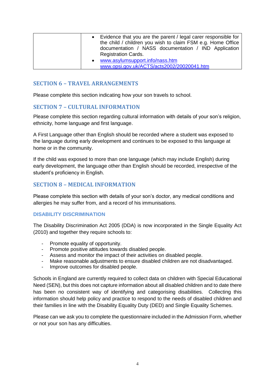|  | • Evidence that you are the parent / legal carer responsible for<br>the child / children you wish to claim FSM e.g. Home Office<br>documentation / NASS documentation / IND Application<br><b>Registration Cards.</b> |
|--|-----------------------------------------------------------------------------------------------------------------------------------------------------------------------------------------------------------------------|
|  | www.asylumsupport.info/nass.htm<br>www.opsi.gov.uk/ACTS/acts2002/20020041.htm                                                                                                                                         |

## <span id="page-4-0"></span>**SECTION 6 – TRAVEL ARRANGEMENTS**

Please complete this section indicating how your son travels to school.

#### <span id="page-4-1"></span>**SECTION 7 – CULTURAL INFORMATION**

Please complete this section regarding cultural information with details of your son's religion, ethnicity, home language and first language.

A First Language other than English should be recorded where a student was exposed to the language during early development and continues to be exposed to this language at home or in the community.

If the child was exposed to more than one language (which may include English) during early development, the language other than English should be recorded, irrespective of the student's proficiency in English.

## <span id="page-4-2"></span>**SECTION 8 – MEDICAL INFORMATION**

Please complete this section with details of your son's doctor, any medical conditions and allergies he may suffer from, and a record of his immunisations.

#### **DISABILITY DISCRIMINATION**

The Disability Discrimination Act 2005 (DDA) is now incorporated in the Single Equality Act (2010) and together they require schools to:

- Promote equality of opportunity.
- Promote positive attitudes towards disabled people.
- Assess and monitor the impact of their activities on disabled people.
- Make reasonable adjustments to ensure disabled children are not disadvantaged.
- Improve outcomes for disabled people.

Schools in England are currently required to collect data on children with Special Educational Need (SEN), but this does not capture information about all disabled children and to date there has been no consistent way of identifying and categorising disabilities. Collecting this information should help policy and practice to respond to the needs of disabled children and their families in line with the Disability Equality Duty (DED) and Single Equality Schemes.

Please can we ask you to complete the questionnaire included in the Admission Form, whether or not your son has any difficulties.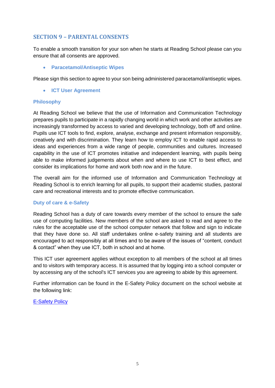## <span id="page-5-0"></span>**SECTION 9 – PARENTAL CONSENTS**

To enable a smooth transition for your son when he starts at Reading School please can you ensure that all consents are approved.

• **Paracetamol/Antiseptic Wipes**

Please sign this section to agree to your son being administered paracetamol/antiseptic wipes.

• **ICT User Agreement** 

## **Philosophy**

At Reading School we believe that the use of Information and Communication Technology prepares pupils to participate in a rapidly changing world in which work and other activities are increasingly transformed by access to varied and developing technology, both off and online. Pupils use ICT tools to find, explore, analyse, exchange and present information responsibly, creatively and with discrimination. They learn how to employ ICT to enable rapid access to ideas and experiences from a wide range of people, communities and cultures. Increased capability in the use of ICT promotes initiative and independent learning, with pupils being able to make informed judgements about when and where to use ICT to best effect, and consider its implications for home and work both now and in the future.

The overall aim for the informed use of Information and Communication Technology at Reading School is to enrich learning for all pupils, to support their academic studies, pastoral care and recreational interests and to promote effective communication.

## **Duty of care & e-Safety**

Reading School has a duty of care towards every member of the school to ensure the safe use of computing facilities. New members of the school are asked to read and agree to the rules for the acceptable use of the school computer network that follow and sign to indicate that they have done so. All staff undertakes online e-safety training and all students are encouraged to act responsibly at all times and to be aware of the issues of "content, conduct & contact" when they use ICT, both in school and at home.

This ICT user agreement applies without exception to all members of the school at all times and to visitors with temporary access. It is assumed that by logging into a school computer or by accessing any of the school's ICT services you are agreeing to abide by this agreement.

Further information can be found in the E-Safety Policy document on the school website at the following link:

[E-Safety Policy](https://www.reading-school.co.uk/attachments/download.asp?file=2992&type=pdf)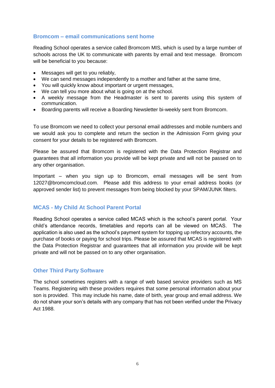## <span id="page-6-0"></span>**Bromcom – email communications sent home**

Reading School operates a service called Bromcom MIS, which is used by a large number of schools across the UK to communicate with parents by email and text message. Bromcom will be beneficial to you because:

- Messages will get to you reliably,
- We can send messages independently to a mother and father at the same time,
- You will quickly know about important or urgent messages,
- We can tell you more about what is going on at the school.
- A weekly message from the Headmaster is sent to parents using this system of communication.
- Boarding parents will receive a Boarding Newsletter bi-weekly sent from Bromcom.

To use Bromcom we need to collect your personal email addresses and mobile numbers and we would ask you to complete and return the section in the Admission Form giving your consent for your details to be registered with Bromcom.

Please be assured that Bromcom is registered with the Data Protection Registrar and guarantees that all information you provide will be kept private and will not be passed on to any other organisation.

Important – when you sign up to Bromcom, email messages will be sent from 12027@bromcomcloud.com. Please add this address to your email address books (or approved sender list) to prevent messages from being blocked by your SPAM/JUNK filters.

## <span id="page-6-1"></span>**MCAS - My Child At School Parent Portal**

Reading School operates a service called MCAS which is the school's parent portal. Your child's attendance records, timetables and reports can all be viewed on MCAS. The application is also used as the school's payment system for topping up refectory accounts, the purchase of books or paying for school trips. Please be assured that MCAS is registered with the Data Protection Registrar and guarantees that all information you provide will be kept private and will not be passed on to any other organisation.

## <span id="page-6-2"></span>**Other Third Party Software**

The school sometimes registers with a range of web based service providers such as MS Teams. Registering with these providers requires that some personal information about your son is provided. This may include his name, date of birth, year group and email address. We do not share your son's details with any company that has not been verified under the Privacy Act 1988.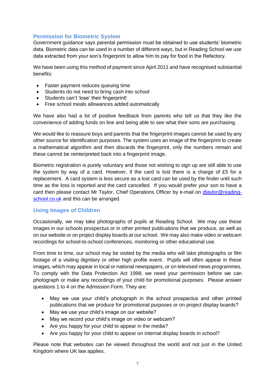## <span id="page-7-0"></span>**Permission for Biometric System**

Government guidance says parental permission must be obtained to use students' biometric data. Biometric data can be used in a number of different ways, but in Reading School we use data extracted from your son's fingerprint to allow him to pay for food in the Refectory.

We have been using this method of payment since April 2011 and have recognised substantial benefits:

- Faster payment reduces queuing time
- Students do not need to bring cash into school
- Students can't 'lose' their fingerprint!
- Free school meals allowances added automatically

We have also had a lot of positive feedback from parents who tell us that they like the convenience of adding funds on line and being able to see what their sons are purchasing.

We would like to reassure boys and parents that the fingerprint images cannot be used by any other source for identification purposes. The system uses an image of the fingerprint to create a mathematical algorithm and then discards the fingerprint, only the numbers remain and these cannot be reinterpreted back into a fingerprint image.

Biometric registration is purely voluntary and those not wishing to sign up are still able to use the system by way of a card. However, if the card is lost there is a charge of £5 for a replacement. A card system is less secure as a lost card can be used by the finder until such time as the loss is reported and the card cancelled. If you would prefer your son to have a card then please contact Mr Taylor, Chief Operations Officer by e-mail on [dtaylor@reading](mailto:dtaylor@reading-school.co.uk)[school.co.uk](mailto:dtaylor@reading-school.co.uk) and this can be arranged.

## <span id="page-7-1"></span>**Using Images of Children**

Occasionally, we may take photographs of pupils at Reading School. We may use these images in our schools prospectus or in other printed publications that we produce, as well as on our website or on project display boards at our school. We may also make video or webcam recordings for school-to-school conferences, monitoring or other educational use.

From time to time, our school may be visited by the media who will take photographs or film footage of a visiting dignitary or other high profile event. Pupils will often appear in these images, which may appear in local or national newspapers, or on televised news programmes. To comply with the Data Protection Act 1998, we need your permission before we can photograph or make any recordings of your child for promotional purposes. Please answer questions 1 to 4 on the Admission Form. They are:

- May we use your child's photograph in the school prospectus and other printed publications that we produce for promotional purposes or on project display boards?
- May we use your child's image on our website?
- May we record your child's image on video or webcam?
- Are you happy for your child to appear in the media?
- Are you happy for your child to appear on internal display boards in school?

Please note that websites can be viewed throughout the world and not just in the United Kingdom where UK law applies.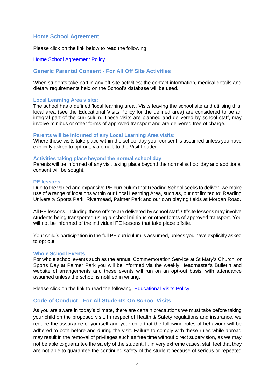#### **Home School Agreement**

Please click on the link below to read the following:

#### [Home School Agreement Policy](https://www.reading-school.co.uk/attachments/download.asp?file=2991&type=pdf)

#### **Generic Parental Consent - For All Off Site Activities**

When students take part in any off-site activities; the contact information, medical details and dietary requirements held on the School's database will be used.

#### **Local Learning Area visits:**

The school has a defined 'local learning area'. Visits leaving the school site and utilising this, local area (see the Educational Visits Policy for the defined area) are considered to be an integral part of the curriculum. These visits are planned and delivered by school staff, may involve minibus or other forms of approved transport and are delivered free of charge.

#### **Parents will be informed of any Local Learning Area visits:**

Where these visits take place within the school day your consent is assumed unless you have explicitly asked to opt out, via email, to the Visit Leader.

#### **Activities taking place beyond the normal school day**

Parents will be informed of any visit taking place beyond the normal school day and additional consent will be sought.

#### **PE lessons**

Due to the varied and expansive PE curriculum that Reading School seeks to deliver, we make use of a range of locations within our Local Learning Area, such as, but not limited to: Reading University Sports Park, Rivermead, Palmer Park and our own playing fields at Morgan Road.

All PE lessons, including those offsite are delivered by school staff. Offsite lessons may involve students being transported using a school minibus or other forms of approved transport. You will not be informed of the individual PE lessons that take place offsite.

Your child's participation in the full PE curriculum is assumed, unless you have explicitly asked to opt out.

#### **Whole School Events**

For whole school events such as the annual Commemoration Service at St Mary's Church, or Sports Day at Palmer Park you will be informed via the weekly Headmaster's Bulletin and website of arrangements and these events will run on an opt-out basis, with attendance assumed unless the school is notified in writing.

Please click on the link to read the following: [Educational Visits Policy](https://www.reading-school.co.uk/attachments/download.asp?file=3055&type=pdf)

#### **Code of Conduct - For All Students On School Visits**

As you are aware in today's climate, there are certain precautions we must take before taking your child on the proposed visit. In respect of Health & Safety regulations and insurance, we require the assurance of yourself and your child that the following rules of behaviour will be adhered to both before and during the visit. Failure to comply with these rules while abroad may result in the removal of privileges such as free time without direct supervision, as we may not be able to guarantee the safety of the student. If, in very extreme cases, staff feel that they are not able to guarantee the continued safety of the student because of serious or repeated